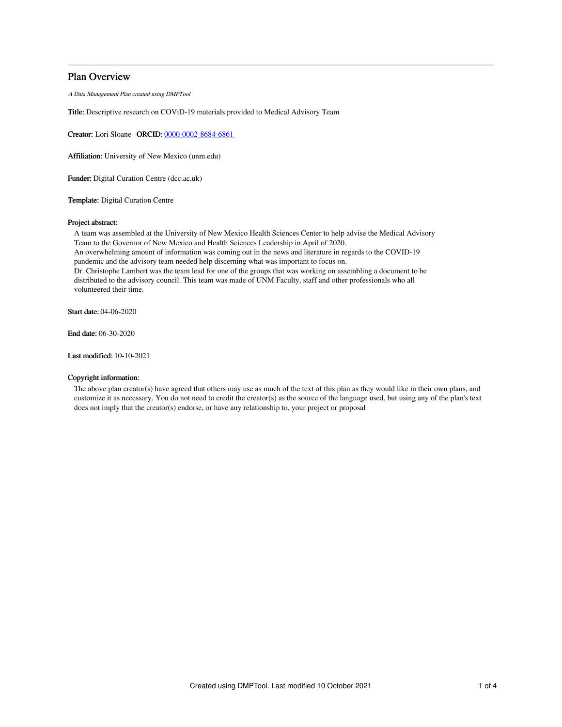# Plan Overview

A Data Management Plan created using DMPTool

Title: Descriptive research on COViD-19 materials provided to Medical Advisory Team

Creator: Lori Sloane -ORCID: [0000-0002-8684-6861](https://orcid.org/0000-0002-8684-6861)

Affiliation: University of New Mexico (unm.edu)

Funder: Digital Curation Centre (dcc.ac.uk)

Template: Digital Curation Centre

## Project abstract:

A team was assembled at the University of New Mexico Health Sciences Center to help advise the Medical Advisory Team to the Governor of New Mexico and Health Sciences Leadership in April of 2020. An overwhelming amount of information was coming out in the news and literature in regards to the COVID-19 pandemic and the advisory team needed help discerning what was important to focus on. Dr. Christophe Lambert was the team lead for one of the groups that was working on assembling a document to be distributed to the advisory council. This team was made of UNM Faculty, staff and other professionals who all volunteered their time.

Start date: 04-06-2020

End date: 06-30-2020

Last modified: 10-10-2021

## Copyright information:

The above plan creator(s) have agreed that others may use as much of the text of this plan as they would like in their own plans, and customize it as necessary. You do not need to credit the creator(s) as the source of the language used, but using any of the plan's text does not imply that the creator(s) endorse, or have any relationship to, your project or proposal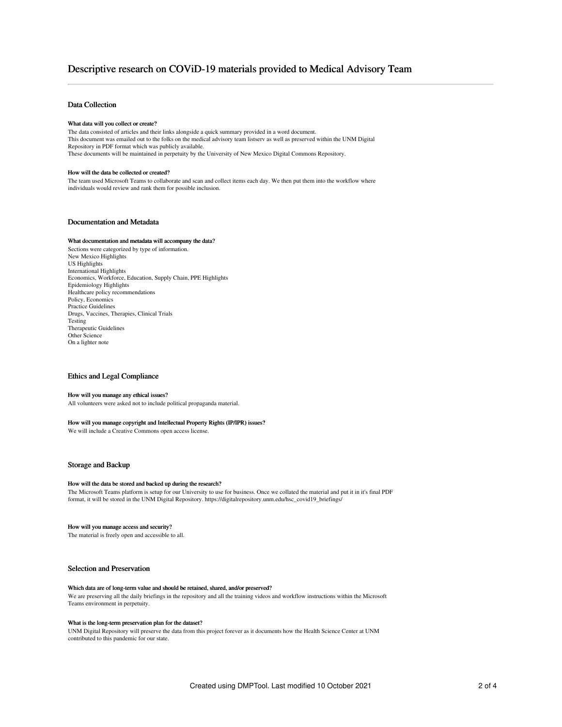## Data Collection

#### What data will you collect or create?

The data consisted of articles and their links alongside a quick summary provided in a word document. This document was emailed out to the folks on the medical advisory team listserv as well as preserved within the UNM Digital Repository in PDF format which was publicly available. These documents will be maintained in perpetuity by the University of New Mexico Digital Commons Repository.

#### How will the data be collected or created?

The team used Microsoft Teams to collaborate and scan and collect items each day. We then put them into the workflow where individuals would review and rank them for possible inclusion.

## Documentation and Metadata

#### What documentation and metadata will accompany the data?

Sections were categorized by type of information. New Mexico Highlights US Highlights International Highlights Economics, Workforce, Education, Supply Chain, PPE Highlights Epidemiology Highlights Healthcare policy recommendations Policy, Economics Practice Guidelines Drugs, Vaccines, Therapies, Clinical Trials Testing Therapeutic Guidelines Other Science On a lighter note

## Ethics and Legal Compliance

#### How will you manage any ethical issues?

All volunteers were asked not to include political propaganda material.

#### How will you manage copyright and Intellectual Property Rights (IP/IPR) issues?

We will include a Creative Commons open access license.

## Storage and Backup

#### How will the data be stored and backed up during the research?

The Microsoft Teams platform is setup for our University to use for business. Once we collated the material and put it in it's final PDF format, it will be stored in the UNM Digital Repository. https://digitalrepository.unm.edu/hsc\_covid19\_briefings/

#### How will you manage access and security?

The material is freely open and accessible to all.

### Selection and Preservation

#### Which data are of long-term value and should be retained, shared, and/or preserved?

We are preserving all the daily briefings in the repository and all the training videos and workflow instructions within the Microsoft Teams environment in perpetuity.

## What is the long-term preservation plan for the dataset?

UNM Digital Repository will preserve the data from this project forever as it documents how the Health Science Center at UNM contributed to this pandemic for our state.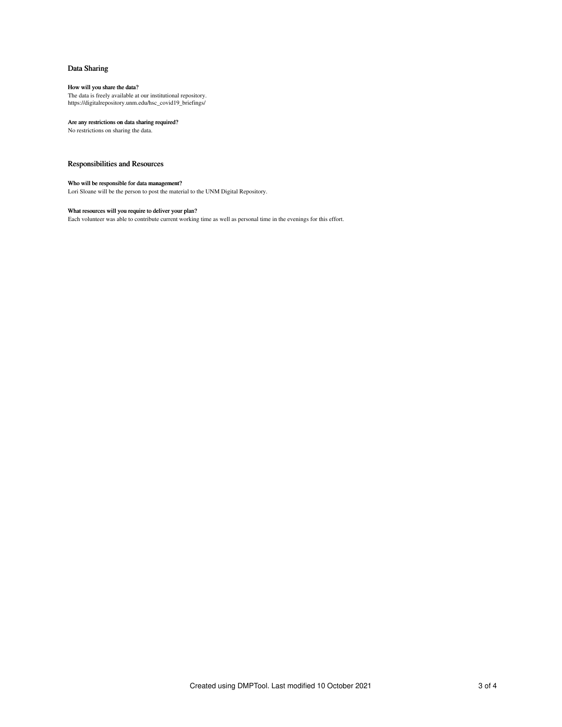# Data Sharing

### How will you share the data?

The data is freely available at our institutional repository. https://digitalrepository.unm.edu/hsc\_covid19\_briefings/

# Are any restrictions on data sharing required?

No restrictions on sharing the data.

# Responsibilities and Resources

## Who will be responsible for data management?

Lori Sloane will be the person to post the material to the UNM Digital Repository.

#### What resources will you require to deliver your plan?

Each volunteer was able to contribute current working time as well as personal time in the evenings for this effort.